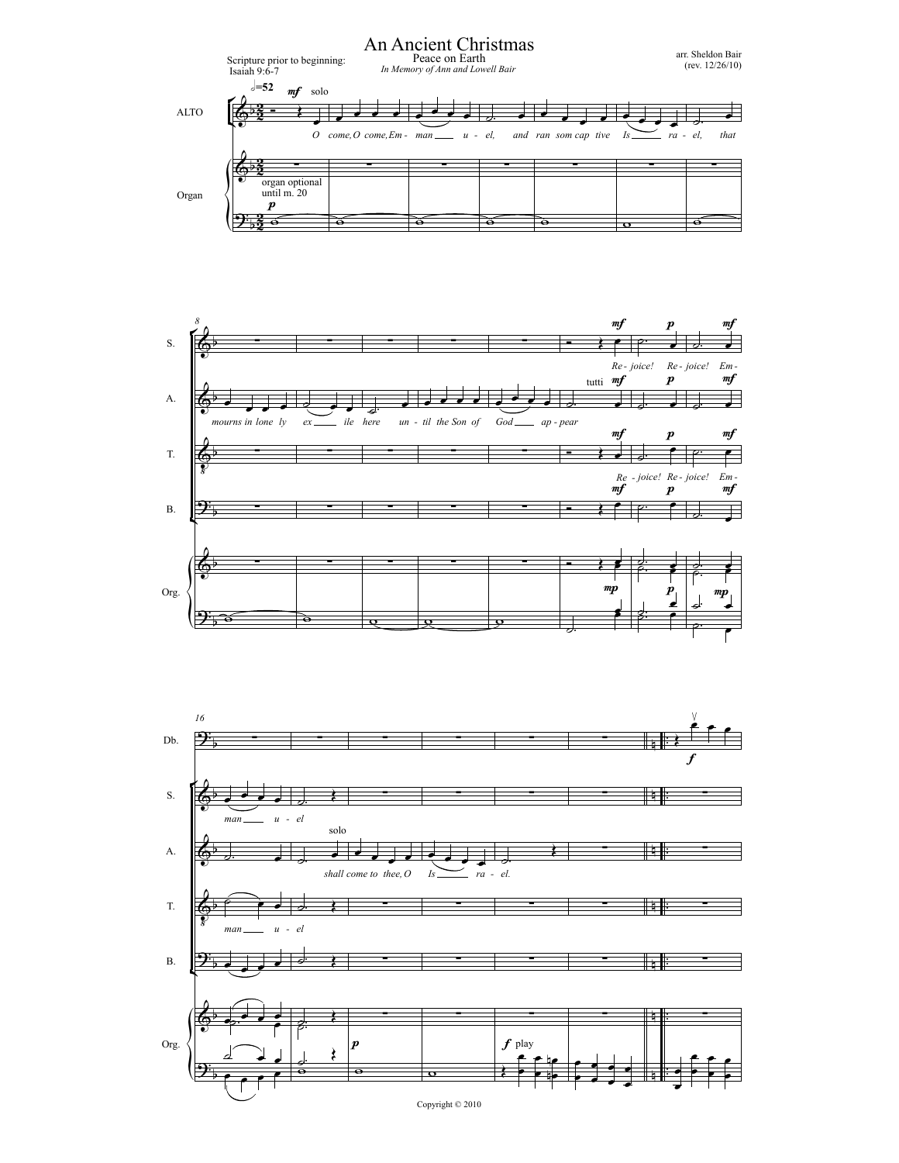



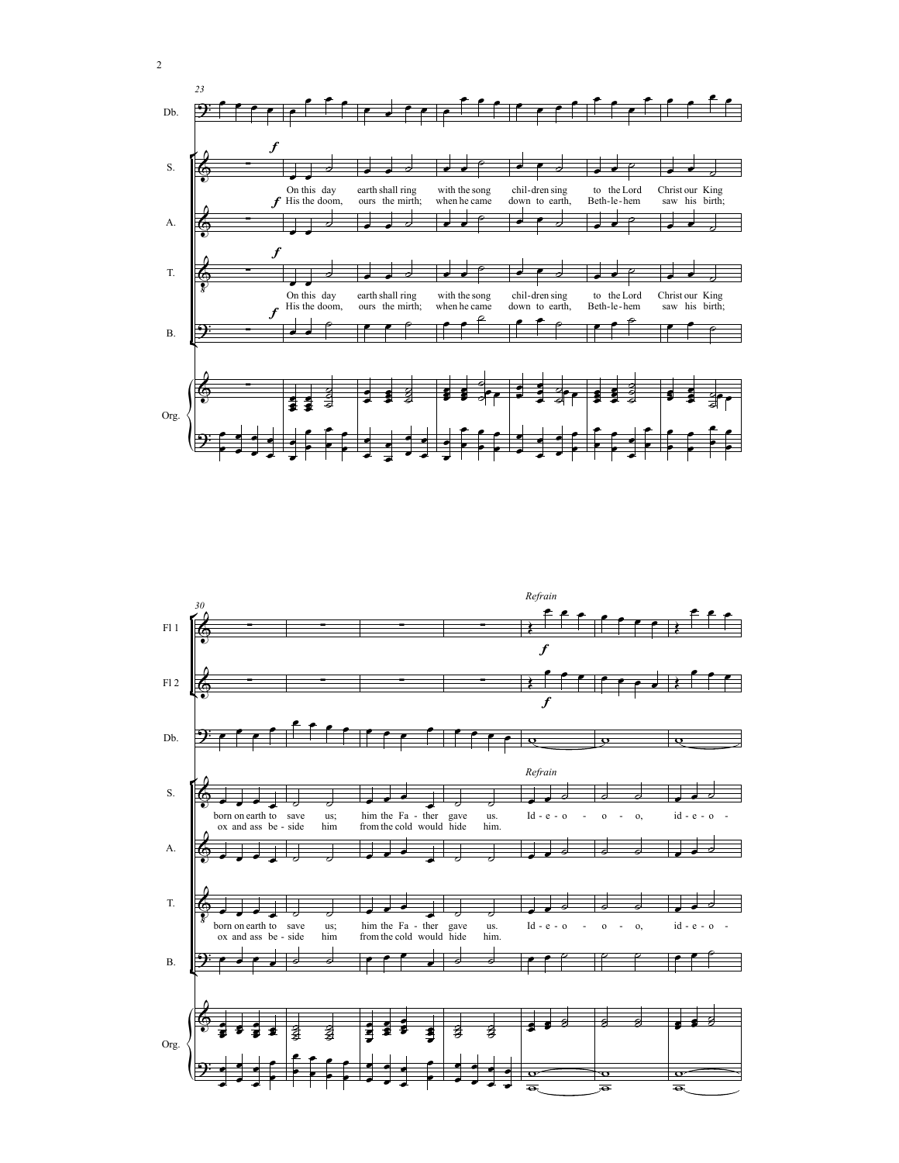